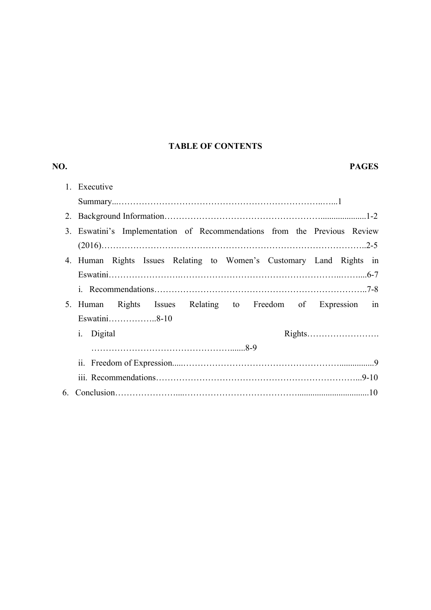# **TABLE OF CONTENTS**

| NO.            | <b>PAGES</b>                                                          |
|----------------|-----------------------------------------------------------------------|
| 1.             | Executive                                                             |
|                |                                                                       |
|                |                                                                       |
| 3.             | Eswatini's Implementation of Recommendations from the Previous Review |
|                |                                                                       |
|                | 4. Human Rights Issues Relating to Women's Customary Land Rights in   |
|                |                                                                       |
|                |                                                                       |
| 5 <sub>1</sub> | Rights Issues Relating to Freedom of Expression in<br>Human           |
|                | Eswatini8-10                                                          |
|                | <i>i.</i> Digital                                                     |
|                |                                                                       |
|                | 11.                                                                   |
|                |                                                                       |
| 6.             |                                                                       |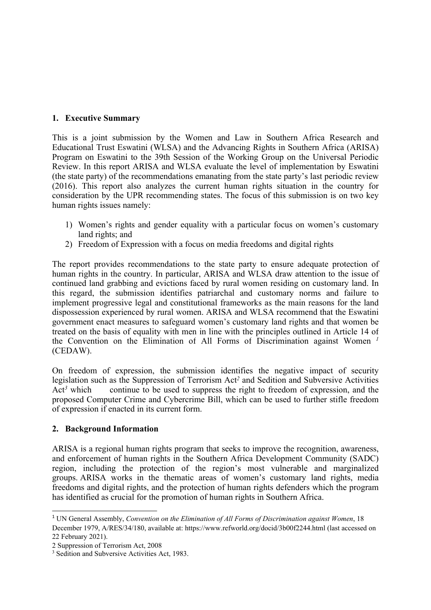# **1. Executive Summary**

This is <sup>a</sup> joint submission by the Women and Law in Southern Africa Research and Educational Trust Eswatini (WLSA) and the Advancing Rights in Southern Africa (ARISA) Program on Eswatini to the 39th Session of the Working Group on the Universal Periodic Review. In this repor<sup>t</sup> ARISA and WLSA evaluate the level of implementation by Eswatini (the state party) of the recommendations emanating from the state party'<sup>s</sup> last periodic review (2016). This repor<sup>t</sup> also analyzes the current human rights situation in the country for consideration by the UPR recommending states. The focus of this submission is on two key human rights issues namely:

- 1) Women'<sup>s</sup> rights and gender equality with <sup>a</sup> particular focus on women'<sup>s</sup> customary land rights; and
- 2) Freedom of Expression with <sup>a</sup> focus on media freedoms and digital rights

The repor<sup>t</sup> provides recommendations to the state party to ensure adequate protection of human rights in the country. In particular, ARISA and WLSA draw attention to the issue of continued land grabbing and evictions faced by rural women residing on customary land. In this regard, the submission identifies patriarchal and customary norms and failure to implement progressive legal and constitutional frameworks as the main reasons for the land dispossession experienced by rural women. ARISA and WLSA recommend that the Eswatini governmen<sup>t</sup> enact measures to safeguard women'<sup>s</sup> customary land rights and that women be treated on the basis of equality with men in line with the principles outlined in Article 14 of the Convention on the Elimination of All Forms of Discrimination against Women *<sup>1</sup>* (CEDAW).

On freedom of expression, the submission identifies the negative impact of security legislation such as the Suppression of Terrorism Act *2* and Sedition and Subversive Activities  $Act<sup>3</sup>$  which *3* continue to be used to suppress the right to freedom of expression, and the proposed Computer Crime and Cybercrime Bill, which can be used to further stifle freedom of expression if enacted in its current form.

# **2. Background Information**

ARISA is <sup>a</sup> regional human rights program that seeks to improve the recognition, awareness, and enforcement of human rights in the Southern Africa Development Community (SADC) region, including the protection of the region'<sup>s</sup> most vulnerable and marginalized groups. ARISA works in the thematic areas of women'<sup>s</sup> customary land rights, media freedoms and digital rights, and the protection of human rights defenders which the program has identified as crucial for the promotion of human rights in Southern Africa.

<sup>1</sup> UN General Assembly, *Convention on the Elimination of All Forms of Discrimination against Women*, 18 December 1979, A/RES/34/180, available at: https://www.refworld.org/docid/3b00f2244.html (last accessed on 22 February 2021).

<sup>2</sup> Suppression of Terrorism Act, 2008

<sup>&</sup>lt;sup>3</sup> Sedition and Subversive Activities Act, 1983.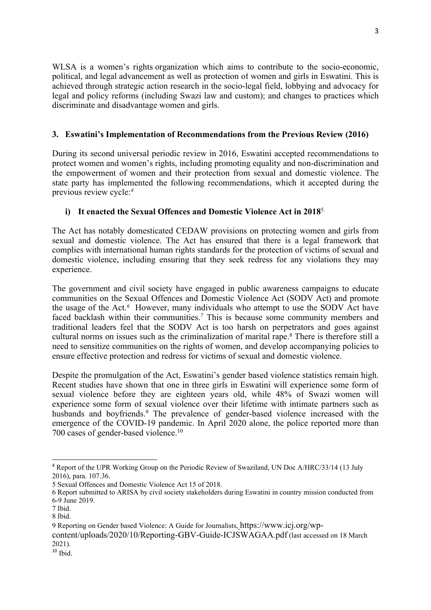WLSA is <sup>a</sup> women'<sup>s</sup> rights organization which aims to contribute to the socio-economic, political, and legal advancement as well as protection of women and girls in Eswatini. This is achieved through strategic action research in the socio-legal field, lobbying and advocacy for legal and policy reforms (including Swazi law and custom); and changes to practices which discriminate and disadvantage women and girls.

# **3. Eswatini'<sup>s</sup> Implementation of Recommendations from the Previous Review (2016)**

During its second universal periodic review in 2016, Eswatini accepted recommendations to protect women and women'<sup>s</sup> rights, including promoting equality and non-discrimination and the empowermen<sup>t</sup> of women and their protection from sexual and domestic violence. The state party has implemented the following recommendations, which it accepted during the previous review cycle: *4*

# **i) It enacted the Sexual Offences and Domestic Violence Act in 2018**5.

The Act has notably domesticated CEDAW provisions on protecting women and girls from sexual and domestic violence. The Act has ensured that there is <sup>a</sup> legal framework that complies with international human rights standards for the protection of victims of sexual and domestic violence, including ensuring that they seek redress for any violations they may experience.

The governmen<sup>t</sup> and civil society have engaged in public awareness campaigns to educate communities on the Sexual Offences and Domestic Violence Act (SODV Act) and promote the usage of the Act. *<sup>6</sup>* However, many individuals who attempt to use the SODV Act have faced backlash within their communities.<sup>7</sup> This is because some community members and traditional leaders feel that the SODV Act is too harsh on perpetrators and goes against cultural norms on issues such as the criminalization of marital rape. 8 There is therefore still <sup>a</sup> need to sensitize communities on the rights of women, and develop accompanying policies to ensure effective protection and redress for victims of sexual and domestic violence.

Despite the promulgation of the Act, Eswatini'<sup>s</sup> gender based violence statistics remain high. Recent studies have shown that one in three girls in Eswatini will experience some form of sexual violence before they are eighteen years old, while 48% of Swazi women will experience some form of sexual violence over their lifetime with intimate partners such as husbands and boyfriends. 9 The prevalence of gender-based violence increased with the emergence of the COVID-19 pandemic. In April 2020 alone, the police reported more than 700 cases of gender-based violence.<sup>10</sup>

<sup>4</sup> Report of the UPR Working Group on the Periodic Review of Swaziland, UN Doc A/HRC/33/14 (13 July 2016), para. 107.36.

<sup>5</sup> Sexual Offences and Domestic Violence Act 15 of 2018.

<sup>6</sup> Report submitted to ARISA by civil society stakeholders during Eswatini in country mission conducted from 6-9 June 2019.

<sup>7</sup> Ibid.

<sup>8</sup> Ibid.

<sup>9</sup> Reporting on Gender based Violence: <sup>A</sup> Guide for Journalists, https://www.icj.org/wp-

content/uploads/2020/10/Reporting-GBV-Guide-ICJSWAGAA.pdf (last accessed on <sup>18</sup> March 2021).

<sup>10</sup> Ibid.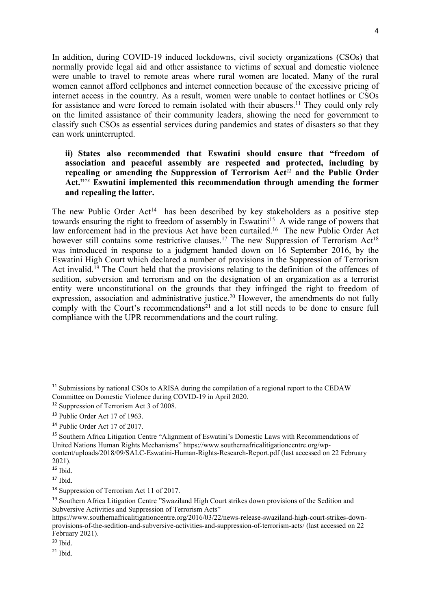In addition, during COVID-19 induced lockdowns, civil society organizations (CSOs) that normally provide legal aid and other assistance to victims of sexual and domestic violence were unable to travel to remote areas where rural women are located. Many of the rural women cannot afford cellphones and internet connection because of the excessive pricing of internet access in the country. As <sup>a</sup> result, women were unable to contact hotlines or CSOs for assistance and were forced to remain isolated with their abusers.<sup>11</sup> They could only rely on the limited assistance of their community leaders, showing the need for governmen<sup>t</sup> to classify such CSOs as essential services during pandemics and states of disasters so that they can work uninterrupted.

**ii) States also recommended that Eswatini should ensure that "freedom of association and peaceful assembly are respected and protected, including by repealing or amending the Suppression of Terrorism Act** *12* **and the Public Order Act."***<sup>13</sup>* **Eswatini implemented this recommendation through amending the former and repealing the latter.**

The new Public Order Act<sup>14</sup> has been described by key stakeholders as a positive step towards ensuring the right to freedom of assembly in Eswatini<sup>15</sup> A wide range of powers that law enforcement had in the previous Act have been curtailed.<sup>16</sup> The new Public Order Act however still contains some restrictive clauses.<sup>17</sup> The new Suppression of Terrorism Act<sup>18</sup> was introduced in response to <sup>a</sup> judgment handed down on 16 September 2016, by the Eswatini High Court which declared <sup>a</sup> number of provisions in the Suppression of Terrorism Act invalid.<sup>19</sup> The Court held that the provisions relating to the definition of the offences of sedition, subversion and terrorism and on the designation of an organization as <sup>a</sup> terrorist entity were unconstitutional on the grounds that they infringed the right to freedom of expression, association and administrative justice. <sup>20</sup> However, the amendments do not fully comply with the Court'<sup>s</sup> recommendations 21 and <sup>a</sup> lot still needs to be done to ensure full compliance with the UPR recommendations and the court ruling.

<sup>&</sup>lt;sup>11</sup> Submissions by national CSOs to ARISA during the compilation of a regional report to the CEDAW Committee on Domestic Violence during COVID-19 in April 2020.

<sup>&</sup>lt;sup>12</sup> Suppression of Terrorism Act 3 of 2008.

<sup>&</sup>lt;sup>13</sup> Public Order Act 17 of 1963.

<sup>&</sup>lt;sup>14</sup> Public Order Act 17 of 2017.

<sup>&</sup>lt;sup>15</sup> Southern Africa Litigation Centre "Alignment of Eswatini's Domestic Laws with Recommendations of United Nations Human Rights Mechanisms" https://www.southernafricalitigationcentre.org/wpcontent/uploads/2018/09/SALC-Eswatini-Human-Rights-Research-Report.pdf (last accessed on 22 February 2021).

<sup>16</sup> Ibid.

 $17$  Ibid.

<sup>&</sup>lt;sup>18</sup> Suppression of Terrorism Act 11 of 2017.

<sup>&</sup>lt;sup>19</sup> Southern Africa Litigation Centre "Swaziland High Court strikes down provisions of the Sedition and Subversive Activities and Suppression of Terrorism Acts"

https://www.southernafricalitigationcentre.org/2016/03/22/news-release-swaziland-high-court-strikes-downprovisions-of-the-sedition-and-subversive-activities-and-suppression-of-terrorism-acts/ (last accessed on 22 February 2021).

<sup>&</sup>lt;sup>20</sup> Ibid.

<sup>21</sup> Ibid.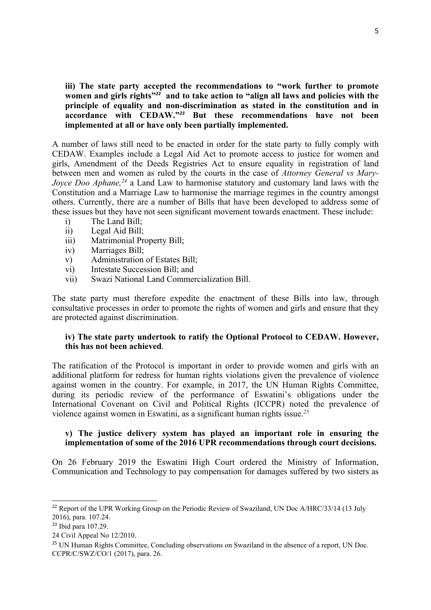**iii) The state party accepted the recommendations to "work further to promote** women and girls rights"<sup>22</sup>  and to take action to "align all laws and policies with the **principle of equality and non-discrimination as stated in the constitution and in accordance with CEDAW."***<sup>23</sup>* **But these recommendations have not been implemented at all or have only been partially implemented.**

A number of laws still need to be enacted in order for the state party to fully comply with CEDAW. Examples include <sup>a</sup> Legal Aid Act to promote access to justice for women and girls, Amendment of the Deeds Registries Act to ensure equality in registration of land between men and women as ruled by the courts in the case of *Attorney General vs Mary-Joyce Doo Aphane, 24* <sup>a</sup> Land Law to harmonise statutory and customary land laws with the Constitution and <sup>a</sup> Marriage Law to harmonise the marriage regimes in the country amongs<sup>t</sup> others. Currently, there are <sup>a</sup> number of Bills that have been developed to address some of these issues but they have not seen significant movement towards enactment. These include:

- i) The Land Bill;
- ii) Legal Aid Bill;
- iii) Matrimonial Property Bill;
- iv) Marriages Bill;
- v) Administration of Estates Bill;
- vi) Intestate Succession Bill; and
- vii) Swazi National Land Commercialization Bill.

The state party must therefore expedite the enactment of these Bills into law, through consultative processes in order to promote the rights of women and girls and ensure that they are protected against discrimination.

# **iv) The state party undertook to ratify the Optional Protocol to CEDAW. However, this has not been achieved**.

The ratification of the Protocol is important in order to provide women and girls with an additional platform for redress for human rights violations given the prevalence of violence against women in the country. For example, in 2017, the UN Human Rights Committee, during its periodic review of the performance of Eswatini'<sup>s</sup> obligations under the International Covenant on Civil and Political Rights (ICCPR) noted the prevalence of violence against women in Eswatini, as <sup>a</sup> significant human rights issue. *25*

#### **v) The justice delivery system has played an important role in ensuring the implementation of some of the 2016 UPR recommendations through court decisions.**

On 26 February 2019 the Eswatini High Court ordered the Ministry of Information, Communication and Technology to pay compensation for damages suffered by two sisters as

<sup>&</sup>lt;sup>22</sup> Report of the UPR Working Group on the Periodic Review of Swaziland, UN Doc A/HRC/33/14 (13 July 2016), para. 107.24.

<sup>&</sup>lt;sup>23</sup> Ibid para 107.29.

<sup>24</sup> Civil Appeal No 12/2010.

<sup>&</sup>lt;sup>25</sup> UN Human Rights Committee, Concluding observations on Swaziland in the absence of a report, UN Doc. CCPR/C/SWZ/CO/1 (2017), para. 26.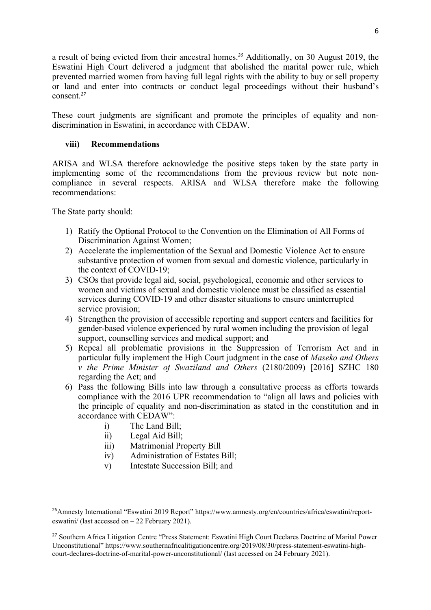<sup>a</sup> result of being evicted from their ancestral homes. *<sup>26</sup>* Additionally, on 30 August 2019, the Eswatini High Court delivered <sup>a</sup> judgment that abolished the marital power rule, which prevented married women from having full legal rights with the ability to buy or sell property or land and enter into contracts or conduct legal proceedings without their husband'<sup>s</sup> consent. *27*

These court judgments are significant and promote the principles of equality and nondiscrimination in Eswatini, in accordance with CEDAW.

### **viii) Recommendations**

ARISA and WLSA therefore acknowledge the positive steps taken by the state party in implementing some of the recommendations from the previous review but note noncompliance in several respects. ARISA and WLSA therefore make the following recommendations:

The State party should:

- 1) Ratify the Optional Protocol to the Convention on the Elimination of All Forms of Discrimination Against Women;
- 2) Accelerate the implementation of the Sexual and Domestic Violence Act to ensure substantive protection of women from sexual and domestic violence, particularly in the context of COVID-19;
- 3) CSOs that provide legal aid, social, psychological, economic and other services to women and victims of sexual and domestic violence must be classified as essential services during COVID-19 and other disaster situations to ensure uninterrupted service provision;
- 4) Strengthen the provision of accessible reporting and suppor<sup>t</sup> centers and facilities for gender-based violence experienced by rural women including the provision of legal support, counselling services and medical support; and
- 5) Repeal all problematic provisions in the Suppression of Terrorism Act and in particular fully implement the High Court judgment in the case of *Maseko and Others <sup>v</sup> the Prime Minister of Swaziland and Others* (2180/2009) [2016] SZHC 180 regarding the Act; and
- 6) Pass the following Bills into law through <sup>a</sup> consultative process as efforts towards compliance with the 2016 UPR recommendation to "align all laws and policies with the principle of equality and non-discrimination as stated in the constitution and in accordance with CEDAW":
	- i) The Land Bill;
	- ii) Legal Aid Bill;
	- iii) Matrimonial Property Bill
	- iv) Administration of Estates Bill;
	- v) Intestate Succession Bill; and

<sup>&</sup>lt;sup>26</sup> Amnesty International "Eswatini 2019 Report" https://www.amnesty.org/en/countries/africa/eswatini/reporteswatini/ (last accessed on – 22 February 2021).

<sup>&</sup>lt;sup>27</sup> Southern Africa Litigation Centre "Press Statement: Eswatini High Court Declares Doctrine of Marital Power Unconstitutional" https://www.southernafricalitigationcentre.org/2019/08/30/press-statement-eswatini-highcourt-declares-doctrine-of-marital-power-unconstitutional/ (last accessed on 24 February 2021).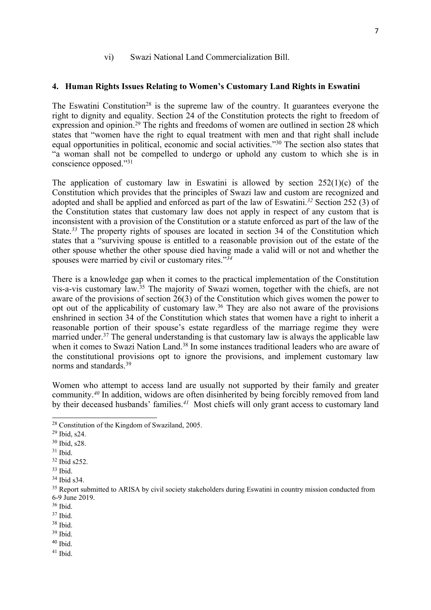#### vi) Swazi National Land Commercialization Bill.

#### **4. Human Rights Issues Relating to Women'<sup>s</sup> Customary Land Rights in Eswatini**

The Eswatini Constitution<sup>28</sup> is the supreme law of the country. It guarantees everyone the right to dignity and equality. Section 24 of the Constitution protects the right to freedom of expression and opinion.<sup>29</sup> The rights and freedoms of women are outlined in section 28 which states that "women have the right to equal treatment with men and that right shall include equal opportunities in political, economic and social activities."<sup>30</sup> The section also states that "<sup>a</sup> woman shall not be compelled to undergo or uphold any custom to which she is in conscience opposed."<sup>31</sup>

The application of customary law in Eswatini is allowed by section  $252(1)(c)$  of the Constitution which provides that the principles of Swazi law and custom are recognized and adopted and shall be applied and enforced as par<sup>t</sup> of the law of Eswatini. *32* Section 252 (3) of the Constitution states that customary law does not apply in respec<sup>t</sup> of any custom that is inconsistent with <sup>a</sup> provision of the Constitution or <sup>a</sup> statute enforced as par<sup>t</sup> of the law of the State. *33* The property rights of spouses are located in section 34 of the Constitution which states that <sup>a</sup> "surviving spouse is entitled to <sup>a</sup> reasonable provision out of the estate of the other spouse whether the other spouse died having made <sup>a</sup> valid will or not and whether the spouses were married by civil or customary rites."*<sup>34</sup>*

There is <sup>a</sup> knowledge gap when it comes to the practical implementation of the Constitution vis-a-vis customary law. 35 The majority of Swazi women, together with the chiefs, are not aware of the provisions of section 26(3) of the Constitution which gives women the power to op<sup>t</sup> out of the applicability of customary law. 36 They are also not aware of the provisions enshrined in section 34 of the Constitution which states that women have <sup>a</sup> right to inherit <sup>a</sup> reasonable portion of their spouse'<sup>s</sup> estate regardless of the marriage regime they were married under.<sup>37</sup> The general understanding is that customary law is always the applicable law when it comes to Swazi Nation Land.<sup>38</sup> In some instances traditional leaders who are aware of the constitutional provisions op<sup>t</sup> to ignore the provisions, and implement customary law norms and standards.<sup>39</sup>

Women who attempt to access land are usually not supported by their family and greater community. *40* In addition, widows are often disinherited by being forcibly removed from land by their deceased husbands' families. *<sup>41</sup>* Most chiefs will only gran<sup>t</sup> access to customary land

<sup>&</sup>lt;sup>28</sup> Constitution of the Kingdom of Swaziland, 2005.

<sup>29</sup> Ibid, s24.

<sup>30</sup> Ibid, s28.

 $31$  Ibid.

 $32$  Ibid s252.

<sup>33</sup> Ibid.

<sup>34</sup> Ibid s34.

<sup>&</sup>lt;sup>35</sup> Report submitted to ARISA by civil society stakeholders during Eswatini in country mission conducted from 6-9 June 2019.

<sup>36</sup> Ibid.

<sup>37</sup> Ibid.

<sup>38</sup> Ibid.

<sup>39</sup> Ibid.

<sup>&</sup>lt;sup>40</sup> Ibid.

<sup>41</sup> Ibid.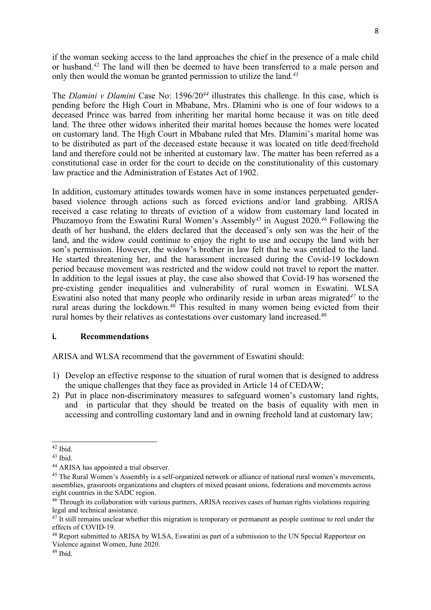if the woman seeking access to the land approaches the chief in the presence of <sup>a</sup> male child or husband. *42* The land will then be deemed to have been transferred to <sup>a</sup> male person and only then would the woman be granted permission to utilize the land. *43*

The *Dlamini <sup>v</sup> Dlamini* Case No: 1596/20*<sup>44</sup>* illustrates this challenge. In this case, which is pending before the High Court in Mbabane, Mrs. Dlamini who is one of four widows to <sup>a</sup> deceased Prince was barred from inheriting her marital home because it was on title deed land. The three other widows inherited their marital homes because the homes were located on customary land. The High Court in Mbabane ruled that Mrs. Dlamini'<sup>s</sup> marital home was to be distributed as par<sup>t</sup> of the deceased estate because it was located on title deed/freehold land and therefore could not be inherited at customary law. The matter has been referred as <sup>a</sup> constitutional case in order for the court to decide on the constitutionality of this customary law practice and the Administration of Estates Act of 1902.

In addition, customary attitudes towards women have in some instances perpetuated genderbased violence through actions such as forced evictions and/or land grabbing. ARISA received <sup>a</sup> case relating to threats of eviction of <sup>a</sup> widow from customary land located in Phuzamoyo from the Eswatini Rural Women'<sup>s</sup> Assembly*<sup>45</sup>* in August 2020. *46* Following the death of her husband, the elders declared that the deceased'<sup>s</sup> only son was the heir of the land, and the widow could continue to enjoy the right to use and occupy the land with her son'<sup>s</sup> permission. However, the widow'<sup>s</sup> brother in law felt that he was entitled to the land. He started threatening her, and the harassment increased during the Covid-19 lockdown period because movement was restricted and the widow could not travel to repor<sup>t</sup> the matter. In addition to the legal issues at play, the case also showed that Covid-19 has worsened the pre-existing gender inequalities and vulnerability of rural women in Eswatini. WLSA Eswatini also noted that many people who ordinarily reside in urban areas migrated*<sup>47</sup>* to the rural areas during the lockdown. 48 This resulted in many women being evicted from their rural homes by their relatives as contestations over customary land increased. 49

### **i. Recommendations**

ARISA and WLSA recommend that the governmen<sup>t</sup> of Eswatini should:

- 1) Develop an effective response to the situation of rural women that is designed to address the unique challenges that they face as provided in Article 14 of CEDAW;
- 2) Put in place non-discriminatory measures to safeguard women'<sup>s</sup> customary land rights, and in particular that they should be treated on the basis of equality with men in accessing and controlling customary land and in owning freehold land at customary law;

<sup>42</sup> Ibid.

<sup>&</sup>lt;sup>43</sup> Ibid.

<sup>44</sup> ARISA has appointed <sup>a</sup> trial observer.

<sup>&</sup>lt;sup>45</sup> The Rural Women's Assembly is a self-organized network or alliance of national rural women's movements, assemblies, grassroots organizations and chapters of mixed peasan<sup>t</sup> unions, federations and movements across eight countries in the SADC region.

<sup>&</sup>lt;sup>46</sup> Through its collaboration with various partners, ARISA receives cases of human rights violations requiring legal and technical assistance.

<sup>&</sup>lt;sup>47</sup> It still remains unclear whether this migration is temporary or permanent as people continue to reel under the effects of COVID-19.

<sup>&</sup>lt;sup>48</sup> Report submitted to ARISA by WLSA, Eswatini as part of a submission to the UN Special Rapporteur on Violence against Women, June 2020.

<sup>&</sup>lt;sup>49</sup> Ibid.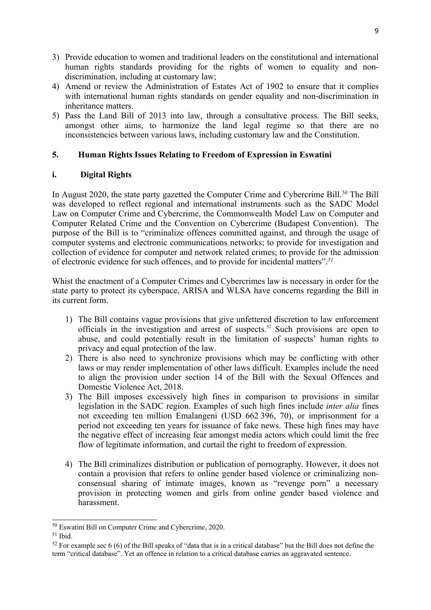- 3) Provide education to women and traditional leaders on the constitutional and international human rights standards providing for the rights of women to equality and nondiscrimination, including at customary law;
- 4) Amend or review the Administration of Estates Act of 1902 to ensure that it complies with international human rights standards on gender equality and non-discrimination in inheritance matters.
- 5) Pass the Land Bill of 2013 into law, through <sup>a</sup> consultative process. The Bill seeks, amongs<sup>t</sup> other aims, to harmonize the land legal regime so that there are no inconsistencies between various laws, including customary law and the Constitution.

### **5. Human Rights Issues Relating to Freedom of Expression in Eswatini**

# **i. Digital Rights**

In August 2020, the state party gazetted the Computer Crime and Cybercrime Bill. *50* The Bill was developed to reflect regional and international instruments such as the SADC Model Law on Computer Crime and Cybercrime, the Commonwealth Model Law on Computer and Computer Related Crime and the Convention on Cybercrime (Budapest Convention). The purpose of the Bill is to "criminalize offences committed against, and through the usage of computer systems and electronic communications networks; to provide for investigation and collection of evidence for computer and network related crimes; to provide for the admission of electronic evidence for such offences, and to provide for incidental matters". *51*

Whist the enactment of <sup>a</sup> Computer Crimes and Cybercrimes law is necessary in order for the state party to protect its cyberspace, ARISA and WLSA have concerns regarding the Bill in its current form.

- 1) The Bill contains vague provisions that give unfettered discretion to law enforcement officials in the investigation and arrest of suspects.<sup>52</sup> Such provisions are open to abuse, and could potentially result in the limitation of suspects' human rights to privacy and equal protection of the law.
- 2) There is also need to synchronize provisions which may be conflicting with other laws or may render implementation of other laws difficult. Examples include the need to align the provision under section 14 of the Bill with the Sexual Offences and Domestic Violence Act, 2018.
- 3) The Bill imposes excessively high fines in comparison to provisions in similar legislation in the SADC region. Examples of such high fines include *inter alia* fines not exceeding ten million Emalangeni (USD 662 396, 70), or imprisonment for <sup>a</sup> period not exceeding ten years for issuance of fake news. These high fines may have the negative effect of increasing fear amongs<sup>t</sup> media actors which could limit the free flow of legitimate information, and curtail the right to freedom of expression.
- 4) The Bill criminalizes distribution or publication of pornography. However, it does not contain <sup>a</sup> provision that refers to online gender based violence or criminalizing nonconsensual sharing of intimate images, known as "revenge porn" <sup>a</sup> necessary provision in protecting women and girls from online gender based violence and harassment.

<sup>&</sup>lt;sup>50</sup> Eswatini Bill on Computer Crime and Cybercrime, 2020.

<sup>51</sup> Ibid.

<sup>&</sup>lt;sup>52</sup> For example sec 6 (6) of the Bill speaks of "data that is in a critical database" but the Bill does not define the term "critical database". Yet an offence in relation to <sup>a</sup> critical database carries an aggravated sentence.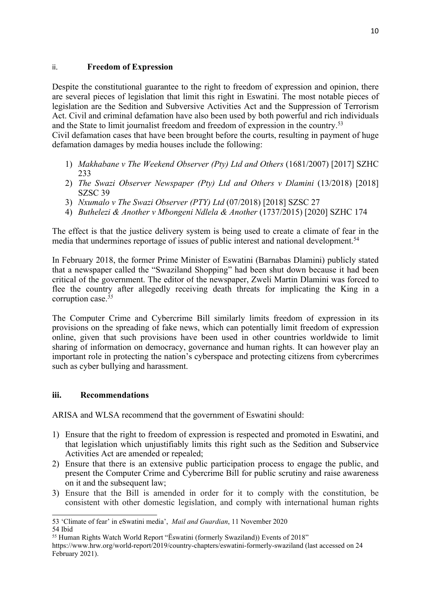### ii. **Freedom of Expression**

Despite the constitutional guarantee to the right to freedom of expression and opinion, there are several pieces of legislation that limit this right in Eswatini. The most notable pieces of legislation are the Sedition and Subversive Activities Act and the Suppression of Terrorism Act. Civil and criminal defamation have also been used by both powerful and rich individuals and the State to limit journalist freedom and freedom of expression in the country. 53

Civil defamation cases that have been brought before the courts, resulting in paymen<sup>t</sup> of huge defamation damages by media houses include the following:

- 1) *Makhabane <sup>v</sup> The Weekend Observer (Pty) Ltd and Others* (1681/2007) [2017] SZHC 233
- 2) *The Swazi Observer Newspaper (Pty) Ltd and Others <sup>v</sup> Dlamini* (13/2018) [2018] SZSC 39
- 3) *Nxumalo <sup>v</sup> The Swazi Observer (PTY) Ltd* (07/2018) [2018] SZSC 27
- 4) *Buthelezi &Another <sup>v</sup> Mbongeni Ndlela & Another* (1737/2015) [2020] SZHC 174

The effect is that the justice delivery system is being used to create <sup>a</sup> climate of fear in the media that undermines reportage of issues of public interest and national development. 54

In February 2018, the former Prime Minister of Eswatini (Barnabas Dlamini) publicly stated that <sup>a</sup> newspaper called the "Swaziland Shopping" had been shut down because it had been critical of the government. The editor of the newspaper, Zweli Martin Dlamini was forced to flee the country after allegedly receiving death threats for implicating the King in <sup>a</sup> corruption case. *55*

The Computer Crime and Cybercrime Bill similarly limits freedom of expression in its provisions on the spreading of fake news, which can potentially limit freedom of expression online, given that such provisions have been used in other countries worldwide to limit sharing of information on democracy, governance and human rights. It can however play an important role in protecting the nation'<sup>s</sup> cyberspace and protecting citizens from cybercrimes such as cyber bullying and harassment.

### **iii. Recommendations**

ARISA and WLSA recommend that the governmen<sup>t</sup> of Eswatini should:

- 1) Ensure that the right to freedom of expression is respected and promoted in Eswatini, and that legislation which unjustifiably limits this right such as the Sedition and Subservice Activities Act are amended or repealed;
- 2) Ensure that there is an extensive public participation process to engage the public, and presen<sup>t</sup> the Computer Crime and Cybercrime Bill for public scrutiny and raise awareness on it and the subsequent law;
- 3) Ensure that the Bill is amended in order for it to comply with the constitution, be consistent with other domestic legislation, and comply with international human rights

<sup>53</sup> 'Climate of fear' in eSwatini media', *Mail and Guardian*, 11 November 2020 54 Ibid

<sup>55</sup> Human Rights Watch World Report "Ëswatini (formerly Swaziland)) Events of <sup>2018</sup>"

https://www.hrw.org/world-report/2019/country-chapters/eswatini-formerly-swaziland (last accessed on 24 February 2021).